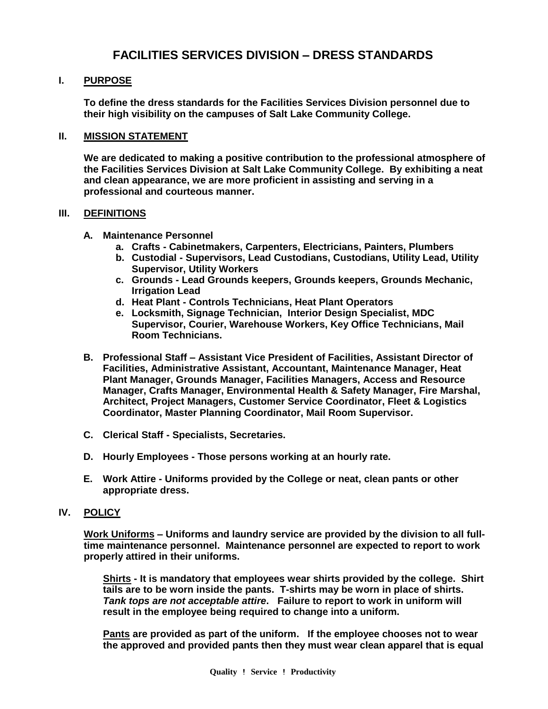# **FACILITIES SERVICES DIVISION – DRESS STANDARDS**

## **I. PURPOSE**

**To define the dress standards for the Facilities Services Division personnel due to their high visibility on the campuses of Salt Lake Community College.**

#### **II. MISSION STATEMENT**

**We are dedicated to making a positive contribution to the professional atmosphere of the Facilities Services Division at Salt Lake Community College. By exhibiting a neat and clean appearance, we are more proficient in assisting and serving in a professional and courteous manner.**

#### **III. DEFINITIONS**

- **A. Maintenance Personnel** 
	- **a. Crafts - Cabinetmakers, Carpenters, Electricians, Painters, Plumbers**
	- **b. Custodial - Supervisors, Lead Custodians, Custodians, Utility Lead, Utility Supervisor, Utility Workers**
	- **c. Grounds - Lead Grounds keepers, Grounds keepers, Grounds Mechanic, Irrigation Lead**
	- **d. Heat Plant - Controls Technicians, Heat Plant Operators**
	- **e. Locksmith, Signage Technician, Interior Design Specialist, MDC Supervisor, Courier, Warehouse Workers, Key Office Technicians, Mail Room Technicians.**
- **B. Professional Staff – Assistant Vice President of Facilities, Assistant Director of Facilities, Administrative Assistant, Accountant, Maintenance Manager, Heat Plant Manager, Grounds Manager, Facilities Managers, Access and Resource Manager, Crafts Manager, Environmental Health & Safety Manager, Fire Marshal, Architect, Project Managers, Customer Service Coordinator, Fleet & Logistics Coordinator, Master Planning Coordinator, Mail Room Supervisor.**
- **C. Clerical Staff - Specialists, Secretaries.**
- **D. Hourly Employees - Those persons working at an hourly rate.**
- **E. Work Attire - Uniforms provided by the College or neat, clean pants or other appropriate dress.**

### **IV. POLICY**

**Work Uniforms – Uniforms and laundry service are provided by the division to all fulltime maintenance personnel. Maintenance personnel are expected to report to work properly attired in their uniforms.** 

**Shirts - It is mandatory that employees wear shirts provided by the college. Shirt tails are to be worn inside the pants. T-shirts may be worn in place of shirts.**  *Tank tops are not acceptable attire***. Failure to report to work in uniform will result in the employee being required to change into a uniform.** 

**Pants are provided as part of the uniform. If the employee chooses not to wear the approved and provided pants then they must wear clean apparel that is equal**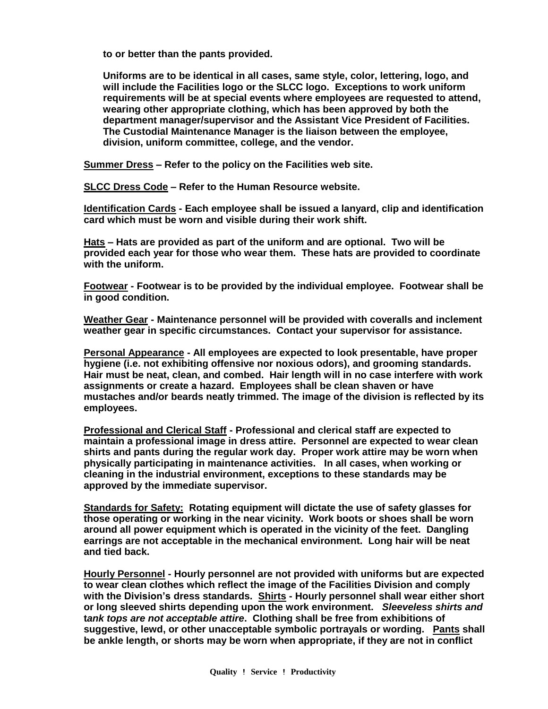**to or better than the pants provided.** 

**Uniforms are to be identical in all cases, same style, color, lettering, logo, and will include the Facilities logo or the SLCC logo. Exceptions to work uniform requirements will be at special events where employees are requested to attend, wearing other appropriate clothing, which has been approved by both the department manager/supervisor and the Assistant Vice President of Facilities. The Custodial Maintenance Manager is the liaison between the employee, division, uniform committee, college, and the vendor.** 

**Summer Dress – Refer to the policy on the Facilities web site.** 

**SLCC Dress Code – Refer to the Human Resource website.** 

**Identification Cards - Each employee shall be issued a lanyard, clip and identification card which must be worn and visible during their work shift.** 

**Hats – Hats are provided as part of the uniform and are optional. Two will be provided each year for those who wear them. These hats are provided to coordinate with the uniform.** 

**Footwear - Footwear is to be provided by the individual employee. Footwear shall be in good condition.** 

**Weather Gear - Maintenance personnel will be provided with coveralls and inclement weather gear in specific circumstances. Contact your supervisor for assistance.**

**Personal Appearance - All employees are expected to look presentable, have proper hygiene (i.e. not exhibiting offensive nor noxious odors), and grooming standards. Hair must be neat, clean, and combed. Hair length will in no case interfere with work assignments or create a hazard. Employees shall be clean shaven or have mustaches and/or beards neatly trimmed. The image of the division is reflected by its employees.**

**Professional and Clerical Staff - Professional and clerical staff are expected to maintain a professional image in dress attire. Personnel are expected to wear clean shirts and pants during the regular work day. Proper work attire may be worn when physically participating in maintenance activities. In all cases, when working or cleaning in the industrial environment, exceptions to these standards may be approved by the immediate supervisor.**

**Standards for Safety: Rotating equipment will dictate the use of safety glasses for those operating or working in the near vicinity. Work boots or shoes shall be worn around all power equipment which is operated in the vicinity of the feet. Dangling earrings are not acceptable in the mechanical environment. Long hair will be neat and tied back.**

**Hourly Personnel - Hourly personnel are not provided with uniforms but are expected to wear clean clothes which reflect the image of the Facilities Division and comply with the Division's dress standards. Shirts - Hourly personnel shall wear either short or long sleeved shirts depending upon the work environment.** *Sleeveless shirts and* **t***ank tops are not acceptable attire***. Clothing shall be free from exhibitions of suggestive, lewd, or other unacceptable symbolic portrayals or wording. Pants shall be ankle length, or shorts may be worn when appropriate, if they are not in conflict**